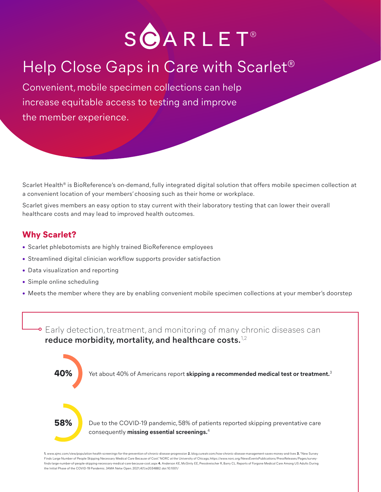

# Help Close Gaps in Care with Scarlet®

Convenient, mobile specimen collections can help increase equitable access to testing and improve the member experience.

Scarlet Health<sup>®</sup> is BioReference's on-demand, fully integrated digital solution that offers mobile specimen collection at a convenient location of your members' choosing such as their home or workplace.

Scarlet gives members an easy option to stay current with their laboratory testing that can lower their overall healthcare costs and may lead to improved health outcomes.

### **Why Scarlet?**

- Scarlet phlebotomists are highly trained BioReference employees
- Streamlined digital clinician workflow supports provider satisfaction
- Data visualization and reporting
- Simple online scheduling
- Meets the member where they are by enabling convenient mobile specimen collections at your member's doorstep



**1.** www.ajmc.com/view/population-health-screenings-for-the-prevention-of-chronic-disease-progression **2.** blog.cureatr.com/how-chronic-disease-management-saves-money-and-lives **3.** "New Survey Finds Large Number of People Skipping Necessary Medical Care Because of Cost." NORC at the University of Chicago, https://www.norc.org/NewsEventsPublications/PressReleases/Pages/surveyfinds-large-number-of-people-skipping-necessary-medical-care-because-cost.aspx **4.** Anderson KE, McGinty EE, Presskreischer R, Barry CL. Reports of Forgone Medical Care Among US Adults During the Initial Phase of the COVID-19 Pandemic. JAMA Netw Open. 2021;4(1):e2034882. doi:10.1001/